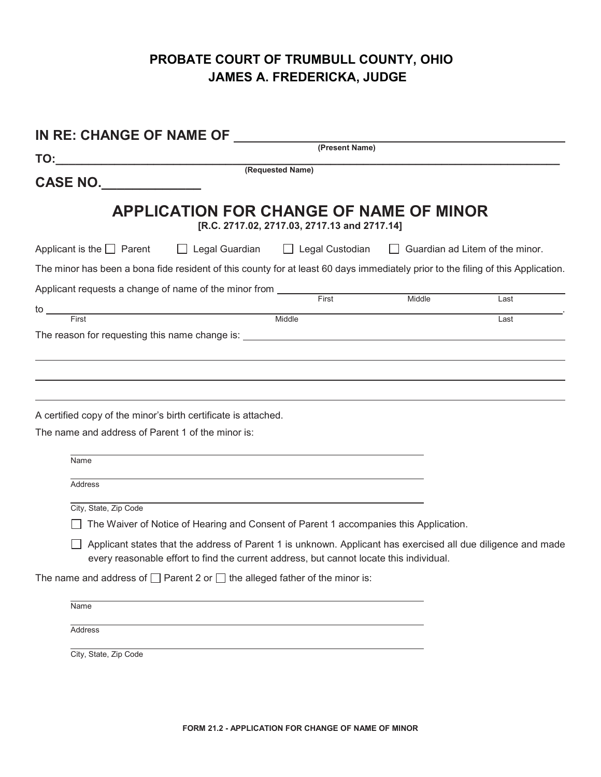## **PROBATE COURT OF TRUMBULL COUNTY, OHIO JAMES A. FREDERICKA, JUDGE**

| IN RE: CHANGE OF NAME OF                                                                                                         |                                                                                                                                                                                                                                                                                                  |                                              |        |                                        |  |  |  |
|----------------------------------------------------------------------------------------------------------------------------------|--------------------------------------------------------------------------------------------------------------------------------------------------------------------------------------------------------------------------------------------------------------------------------------------------|----------------------------------------------|--------|----------------------------------------|--|--|--|
| TO:                                                                                                                              |                                                                                                                                                                                                                                                                                                  | (Present Name)                               |        |                                        |  |  |  |
| CASE NO.                                                                                                                         |                                                                                                                                                                                                                                                                                                  | (Requested Name)                             |        |                                        |  |  |  |
|                                                                                                                                  | <b>APPLICATION FOR CHANGE OF NAME OF MINOR</b>                                                                                                                                                                                                                                                   | [R.C. 2717.02, 2717.03, 2717.13 and 2717.14] |        |                                        |  |  |  |
| Applicant is the $\Box$ Parent                                                                                                   | $\Box$ Legal Guardian                                                                                                                                                                                                                                                                            | $\Box$ Legal Custodian                       |        | $\Box$ Guardian ad Litem of the minor. |  |  |  |
| The minor has been a bona fide resident of this county for at least 60 days immediately prior to the filing of this Application. |                                                                                                                                                                                                                                                                                                  |                                              |        |                                        |  |  |  |
| Applicant requests a change of name of the minor from ___________________________                                                |                                                                                                                                                                                                                                                                                                  |                                              | Middle | Last                                   |  |  |  |
| to $\overline{\phantom{0}}$<br>First                                                                                             |                                                                                                                                                                                                                                                                                                  | Middle                                       |        | Last                                   |  |  |  |
| A certified copy of the minor's birth certificate is attached.<br>The name and address of Parent 1 of the minor is:              |                                                                                                                                                                                                                                                                                                  |                                              |        |                                        |  |  |  |
| Name                                                                                                                             |                                                                                                                                                                                                                                                                                                  |                                              |        |                                        |  |  |  |
| <b>Address</b>                                                                                                                   |                                                                                                                                                                                                                                                                                                  |                                              |        |                                        |  |  |  |
| City, State, Zip Code                                                                                                            | The Waiver of Notice of Hearing and Consent of Parent 1 accompanies this Application.<br>Applicant states that the address of Parent 1 is unknown. Applicant has exercised all due diligence and made<br>every reasonable effort to find the current address, but cannot locate this individual. |                                              |        |                                        |  |  |  |
| The name and address of $\Box$ Parent 2 or $\Box$ the alleged father of the minor is:                                            |                                                                                                                                                                                                                                                                                                  |                                              |        |                                        |  |  |  |
| Name                                                                                                                             |                                                                                                                                                                                                                                                                                                  |                                              |        |                                        |  |  |  |
| Address                                                                                                                          |                                                                                                                                                                                                                                                                                                  |                                              |        |                                        |  |  |  |
| City, State, Zip Code                                                                                                            |                                                                                                                                                                                                                                                                                                  |                                              |        |                                        |  |  |  |